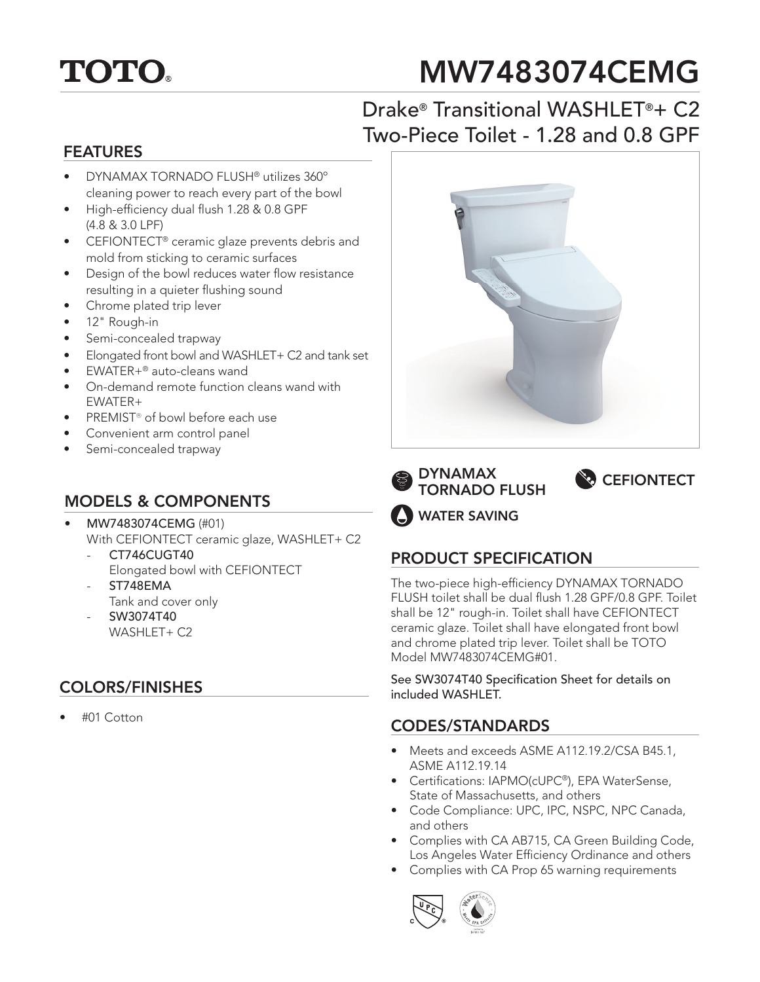

# MW7483074CEMG

# Drake® Transitional WASHLET®+ C2 Two-Piece Toilet - 1.28 and 0.8 GPF

#### FEATURES

- DYNAMAX TORNADO FLUSH® utilizes 360º cleaning power to reach every part of the bowl
- High-efficiency dual flush 1.28 & 0.8 GPF (4.8 & 3.0 LPF)
- CEFIONTECT® ceramic glaze prevents debris and mold from sticking to ceramic surfaces
- Design of the bowl reduces water flow resistance resulting in a quieter flushing sound
- Chrome plated trip lever
- 12" Rough-in
- Semi-concealed trapway
- Elongated front bowl and WASHLET+ C2 and tank set
- EWATER+® auto-cleans wand
- On-demand remote function cleans wand with EWATER+
- PREMIST® of bowl before each use
- Convenient arm control panel
- Semi-concealed trapway

## MODELS & COMPONENTS

- MW7483074CEMG (#01) With CEFIONTECT ceramic glaze, WASHLET+ C2
	- CT746CUGT40 Elongated bowl with CEFIONTECT ST748EMA
	- Tank and cover only
	- SW3074T40 WASHLET+ C2

## COLORS/FINISHES

• #01 Cotton







WATER SAVING

## PRODUCT SPECIFICATION

The two-piece high-efficiency DYNAMAX TORNADO FLUSH toilet shall be dual flush 1.28 GPF/0.8 GPF. Toilet shall be 12" rough-in. Toilet shall have CEFIONTECT ceramic glaze. Toilet shall have elongated front bowl and chrome plated trip lever. Toilet shall be TOTO Model MW7483074CEMG#01.

See SW3074T40 Specification Sheet for details on included WASHLET.

## CODES/STANDARDS

- Meets and exceeds ASME A112.19.2/CSA B45.1, ASME A112.19.14
- Certifications: IAPMO(cUPC®), EPA WaterSense, State of Massachusetts, and others
- Code Compliance: UPC, IPC, NSPC, NPC Canada, and others
- Complies with CA AB715, CA Green Building Code, Los Angeles Water Efficiency Ordinance and others
- Complies with CA Prop 65 warning requirements